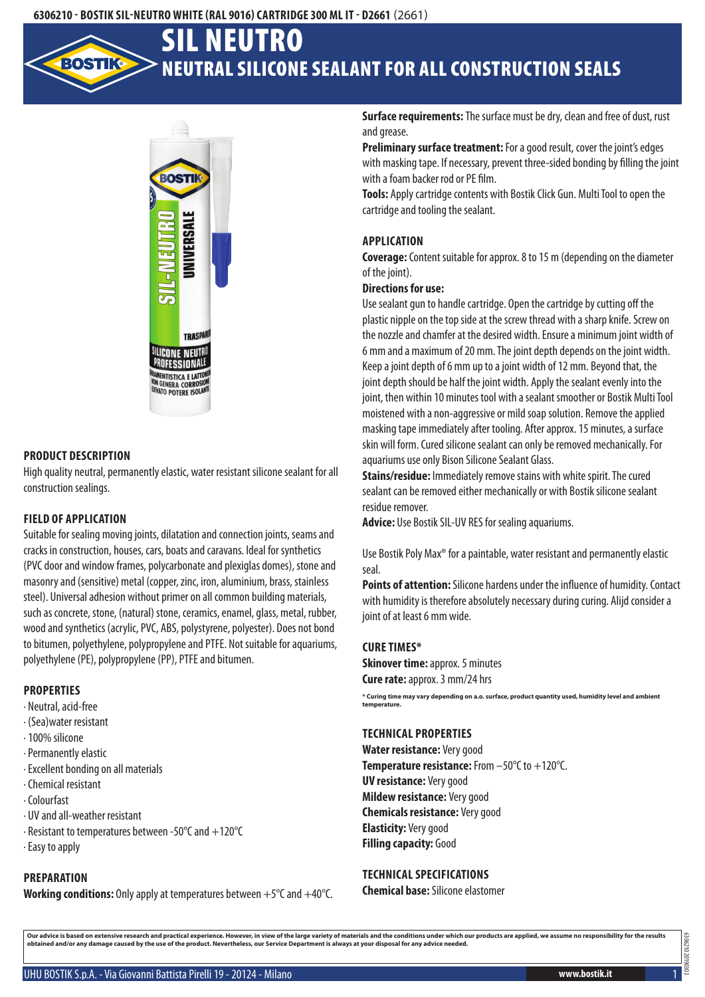## **6306210 - Bostik SIL-Neutro White (RAL 9016) Cartridge 300 mlIT - D2661** (2661)

# Neutral silicone sealant for all construction seals SIL Neutro



### **Product description**

High quality neutral, permanently elastic, water resistant silicone sealant for all construction sealings.

#### **Field of application**

Suitable for sealing moving joints, dilatation and connection joints, seams and cracks in construction, houses, cars, boats and caravans. Ideal for synthetics (PVC door and window frames, polycarbonate and plexiglas domes), stone and masonry and (sensitive) metal (copper, zinc, iron, aluminium, brass, stainless steel). Universal adhesion without primer on all common building materials, such as concrete, stone, (natural) stone, ceramics, enamel, glass, metal, rubber, wood and synthetics (acrylic, PVC, ABS, polystyrene, polyester). Does not bond to bitumen, polyethylene, polypropylene and PTFE. Not suitable for aquariums, polyethylene (PE), polypropylene (PP), PTFE and bitumen.

#### **Properties**

- · Neutral, acid-free
- · (Sea)water resistant
- · 100% silicone
- · Permanently elastic
- · Excellent bonding on all materials
- · Chemical resistant
- · Colourfast
- · UV and all-weather resistant
- · Resistant to temperatures between -50°C and +120°C
- · Easy to apply

# **Preparation**

**Working conditions:** Only apply at temperatures between +5°C and +40°C.

**Surface requirements:** The surface must be dry, clean and free of dust, rust and grease.

**Preliminary surface treatment:** For a good result, cover the joint's edges with masking tape. If necessary, prevent three-sided bonding by filling the joint with a foam backer rod or PE film.

**Tools:** Apply cartridge contents with Bostik Click Gun. Multi Tool to open the cartridge and tooling the sealant.

#### **Application**

**Coverage:** Content suitable for approx. 8 to 15 m (depending on the diameter of the joint).

#### **Directions for use:**

Use sealant gun to handle cartridge. Open the cartridge by cutting off the plastic nipple on the top side at the screw thread with a sharp knife. Screw on the nozzle and chamfer at the desired width. Ensure a minimum joint width of 6 mm and a maximum of 20 mm. The joint depth depends on the joint width. Keep a joint depth of 6 mm up to a joint width of 12 mm. Beyond that, the joint depth should be half the joint width. Apply the sealant evenly into the joint, then within 10 minutes tool with a sealant smoother or Bostik Multi Tool moistened with a non-aggressive or mild soap solution. Remove the applied masking tape immediately after tooling. After approx. 15 minutes, a surface skin will form. Cured silicone sealant can only be removed mechanically. For aquariums use only Bison Silicone Sealant Glass.

**Stains/residue:** Immediately remove stains with white spirit. The cured sealant can be removed either mechanically or with Bostik silicone sealant residue remover.

**Advice:** Use Bostik SIL-UV RES for sealing aquariums.

Use Bostik Poly Max® for a paintable, water resistant and permanently elastic seal.

**Points of attention:** Silicone hardens under the influence of humidity. Contact with humidity is therefore absolutely necessary during curing. Alijd consider a joint of at least 6 mm wide.

#### **Cure times\***

**Skinover time: approx. 5 minutes Cure rate:** approx. 3 mm/24 hrs

**\* Curing time may vary depending on a.o. surface, product quantity used, humidity level and ambient temperature.**

## **Technical properties**

**Water resistance:** Very good **Temperature resistance:** From –50°C to +120°C. **UV resistance:** Very good **Mildew resistance:** Very good **Chemicals resistance:** Very good **Elasticity:** Very good **Filling capacity: Good** 

#### **Technical specifications**

**Chemical base:** Silicone elastomer

Our advice is based on extensive research and practical experience. However, in view of the large variety of materials and the conditions under which our products are applied, we assume no responsibility for the results<br>ob

6306210 20190303

30621